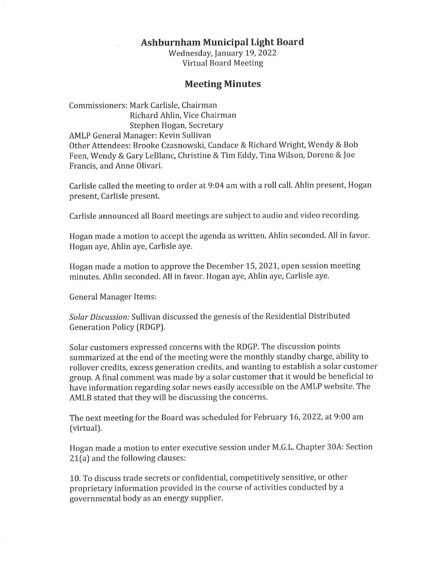## **Ashburnham Municipal Light Board**

Wednesday, January 19, 2022 Virtual Board Meeting

## **Meeting Minutes**

Commissioners: Mark Carlisle, Chairman Richard Ahlin, Vice Chairman Stephen Hogan, Secretary AMLP General Manager: Kevin Sullivan Other Attendees: Brooke Czasnowski, Candace & Richard Wright, Wendy & Bob Feen, Wendy & Gary LeBlanc, Christine & Tim Eddy, Tina Wilson, Dorene & Joe Francis, and Anne Olivari.

Carlisle called the meeting to order at 9:04 am with a roll call. Ahlin present, Hogan present, Carlisle present.

Carlisle announced all Board meetings are subject to audio and video recording.

Hogan made a motion to accept the agenda as written. Ahlin seconded. All in favor. Hogan aye, Ahlin aye, Carlisle aye.

Hogan made a motion to approve the December 15, 2021, open session meeting minutes. Ahlin seconded. All in favor. Hogan aye, Ahlin aye, Carlisle aye.

General Manager Items:

Solar Discussion: Sullivan discussed the genesis of the Residential Distributed Generation Policy (RDGP).

Solar customers expressed concerns with the RDGP. The discussion points summarized at the end of the meeting were the monthly standby charge, ability to rollover credits, excess generation credits, and wanting to establish a solar customer group. A final comment was made by a solar customer that it would be beneficial to have information regarding solar news easily accessible on the AMLP website. The AMLB stated that they will be discussing the concerns.

The next meeting for the Board was scheduled for February 16, 2022, at 9:00 am (virtual).

Hogan made a motion to enter executive session under M.G.L. Chapter 30A: Section 21(a) and the following clauses:

10. To discuss trade secrets or confidential, competitively sensitive, or other proprietary information provided in the course of activities conducted by a governmental body as an energy supplier.